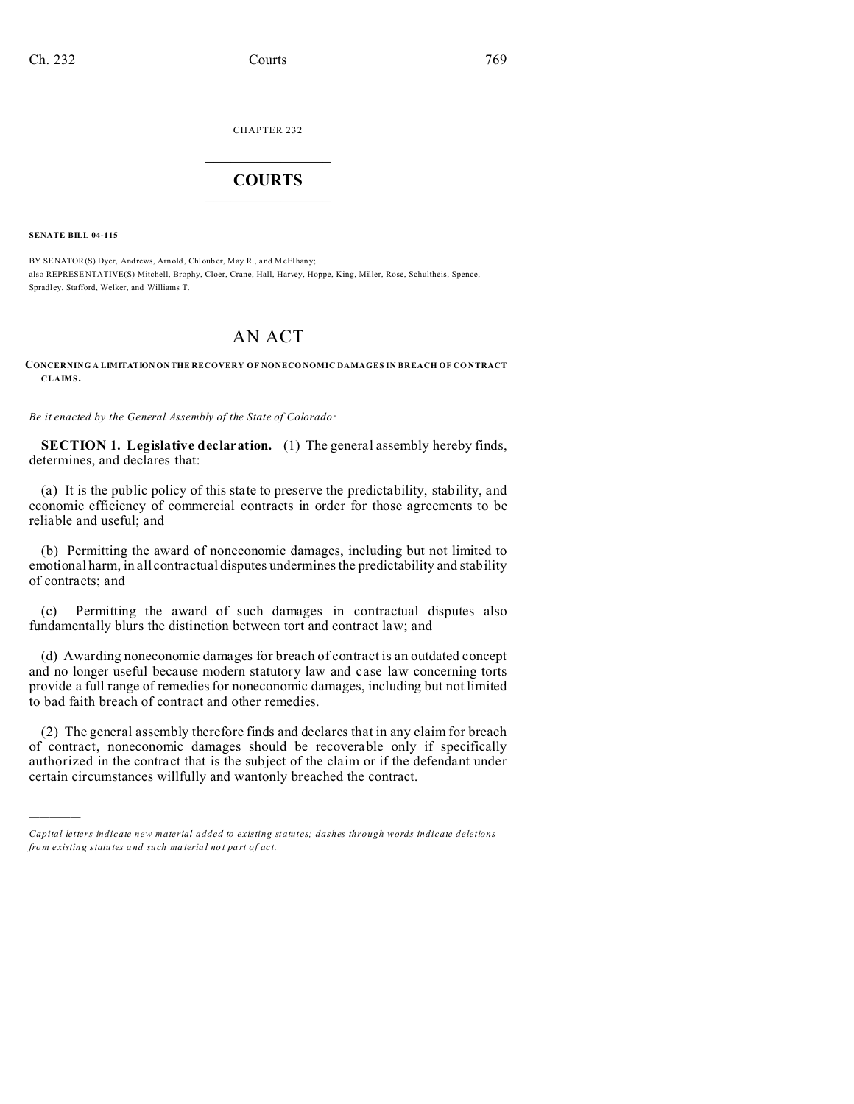CHAPTER 232  $\overline{\phantom{a}}$  , where  $\overline{\phantom{a}}$ 

## **COURTS**  $\_$

**SENATE BILL 04-115**

)))))

BY SENATOR(S) Dyer, Andrews, Arn old, Chl oub er, May R., and M cElhany; also REPRESE NTATIVE(S) Mitchell, Brophy, Cloer, Crane, Hall, Harvey, Hoppe, King, Miller, Rose, Schultheis, Spence, Spradl ey, Stafford, Welker, and Williams T.

## AN ACT

**CONCERNING A LIMITATION ON THE RECOVERY OF NONECO NOMIC DAMAGES IN BREACH OF CO NTRACT CLAIMS.**

*Be it enacted by the General Assembly of the State of Colorado:*

**SECTION 1. Legislative declaration.** (1) The general assembly hereby finds, determines, and declares that:

(a) It is the public policy of this state to preserve the predictability, stability, and economic efficiency of commercial contracts in order for those agreements to be reliable and useful; and

(b) Permitting the award of noneconomic damages, including but not limited to emotional harm, in all contractual disputes undermines the predictability and stability of contracts; and

(c) Permitting the award of such damages in contractual disputes also fundamentally blurs the distinction between tort and contract law; and

(d) Awarding noneconomic damages for breach of contract is an outdated concept and no longer useful because modern statutory law and case law concerning torts provide a full range of remedies for noneconomic damages, including but not limited to bad faith breach of contract and other remedies.

(2) The general assembly therefore finds and declares that in any claim for breach of contract, noneconomic damages should be recoverable only if specifically authorized in the contract that is the subject of the claim or if the defendant under certain circumstances willfully and wantonly breached the contract.

*Capital letters indicate new material added to existing statutes; dashes through words indicate deletions from e xistin g statu tes a nd such ma teria l no t pa rt of ac t.*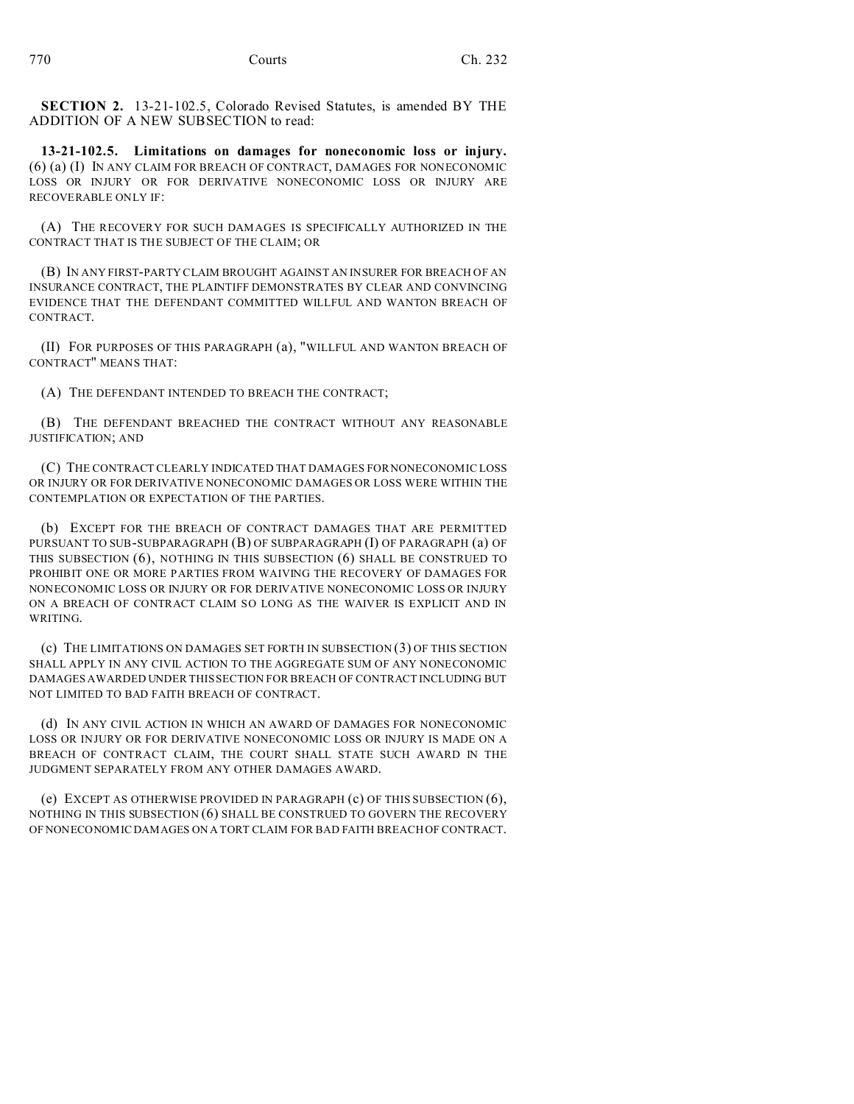**SECTION 2.** 13-21-102.5, Colorado Revised Statutes, is amended BY THE ADDITION OF A NEW SUBSECTION to read:

**13-21-102.5. Limitations on damages for noneconomic loss or injury.** (6) (a) (I) IN ANY CLAIM FOR BREACH OF CONTRACT, DAMAGES FOR NONECONOMIC LOSS OR INJURY OR FOR DERIVATIVE NONECONOMIC LOSS OR INJURY ARE RECOVERABLE ONLY IF:

(A) THE RECOVERY FOR SUCH DAMAGES IS SPECIFICALLY AUTHORIZED IN THE CONTRACT THAT IS THE SUBJECT OF THE CLAIM; OR

(B) IN ANY FIRST-PARTY CLAIM BROUGHT AGAINST AN INSURER FOR BREACH OF AN INSURANCE CONTRACT, THE PLAINTIFF DEMONSTRATES BY CLEAR AND CONVINCING EVIDENCE THAT THE DEFENDANT COMMITTED WILLFUL AND WANTON BREACH OF CONTRACT.

(II) FOR PURPOSES OF THIS PARAGRAPH (a), "WILLFUL AND WANTON BREACH OF CONTRACT" MEANS THAT:

(A) THE DEFENDANT INTENDED TO BREACH THE CONTRACT;

(B) THE DEFENDANT BREACHED THE CONTRACT WITHOUT ANY REASONABLE JUSTIFICATION; AND

(C) THE CONTRACT CLEARLY INDICATED THAT DAMAGES FOR NONECONOMIC LOSS OR INJURY OR FOR DERIVATIVE NONECONOMIC DAMAGES OR LOSS WERE WITHIN THE CONTEMPLATION OR EXPECTATION OF THE PARTIES.

(b) EXCEPT FOR THE BREACH OF CONTRACT DAMAGES THAT ARE PERMITTED PURSUANT TO SUB-SUBPARAGRAPH (B) OF SUBPARAGRAPH (I) OF PARAGRAPH (a) OF THIS SUBSECTION (6), NOTHING IN THIS SUBSECTION (6) SHALL BE CONSTRUED TO PROHIBIT ONE OR MORE PARTIES FROM WAIVING THE RECOVERY OF DAMAGES FOR NONECONOMIC LOSS OR INJURY OR FOR DERIVATIVE NONECONOMIC LOSS OR INJURY ON A BREACH OF CONTRACT CLAIM SO LONG AS THE WAIVER IS EXPLICIT AND IN WRITING.

(c) THE LIMITATIONS ON DAMAGES SET FORTH IN SUBSECTION (3) OF THIS SECTION SHALL APPLY IN ANY CIVIL ACTION TO THE AGGREGATE SUM OF ANY NONECONOMIC DAMAGES AWARDED UNDER THIS SECTION FOR BREACH OF CONTRACT INCLUDING BUT NOT LIMITED TO BAD FAITH BREACH OF CONTRACT.

(d) IN ANY CIVIL ACTION IN WHICH AN AWARD OF DAMAGES FOR NONECONOMIC LOSS OR INJURY OR FOR DERIVATIVE NONECONOMIC LOSS OR INJURY IS MADE ON A BREACH OF CONTRACT CLAIM, THE COURT SHALL STATE SUCH AWARD IN THE JUDGMENT SEPARATELY FROM ANY OTHER DAMAGES AWARD.

(e) EXCEPT AS OTHERWISE PROVIDED IN PARAGRAPH (c) OF THIS SUBSECTION (6), NOTHING IN THIS SUBSECTION (6) SHALL BE CONSTRUED TO GOVERN THE RECOVERY OF NONECONOMIC DAMAGES ON A TORT CLAIM FOR BAD FAITH BREACH OF CONTRACT.